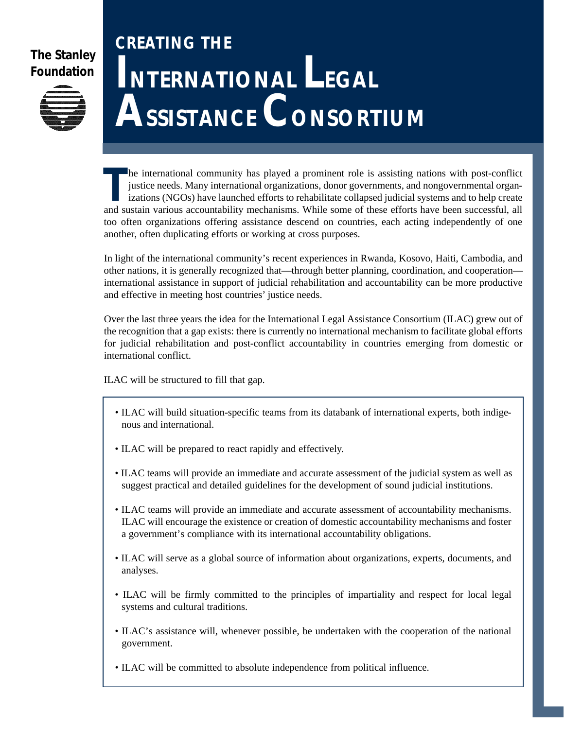# **[The Stanley](http://www.stanleyfdn.org) Foundation**



# **CREATING THE INTERNATIONAL LEGAL ASSISTANCE CONSORTIUM**

The international community has played a prominent role is assisting nations with post-conflict<br>justice needs. Many international organizations, donor governments, and nongovernmental organ-<br>izations (NGOs) have launched e he international community has played a prominent role is assisting nations with post-conflict justice needs. Many international organizations, donor governments, and nongovernmental organizations (NGOs) have launched efforts to rehabilitate collapsed judicial systems and to help create too often organizations offering assistance descend on countries, each acting independently of one another, often duplicating efforts or working at cross purposes.

In light of the international community's recent experiences in Rwanda, Kosovo, Haiti, Cambodia, and other nations, it is generally recognized that—through better planning, coordination, and cooperation international assistance in support of judicial rehabilitation and accountability can be more productive and effective in meeting host countries' justice needs.

Over the last three years the idea for the International Legal Assistance Consortium (ILAC) grew out of the recognition that a gap exists: there is currently no international mechanism to facilitate global efforts for judicial rehabilitation and post-conflict accountability in countries emerging from domestic or international conflict.

ILAC will be structured to fill that gap.

- ILAC will build situation-specific teams from its databank of international experts, both indigenous and international.
- ILAC will be prepared to react rapidly and effectively.
- ILAC teams will provide an immediate and accurate assessment of the judicial system as well as suggest practical and detailed guidelines for the development of sound judicial institutions.
- ILAC teams will provide an immediate and accurate assessment of accountability mechanisms. ILAC will encourage the existence or creation of domestic accountability mechanisms and foster a government's compliance with its international accountability obligations.
- ILAC will serve as a global source of information about organizations, experts, documents, and analyses.
- ILAC will be firmly committed to the principles of impartiality and respect for local legal systems and cultural traditions.
- ILAC's assistance will, whenever possible, be undertaken with the cooperation of the national government.
- ILAC will be committed to absolute independence from political influence.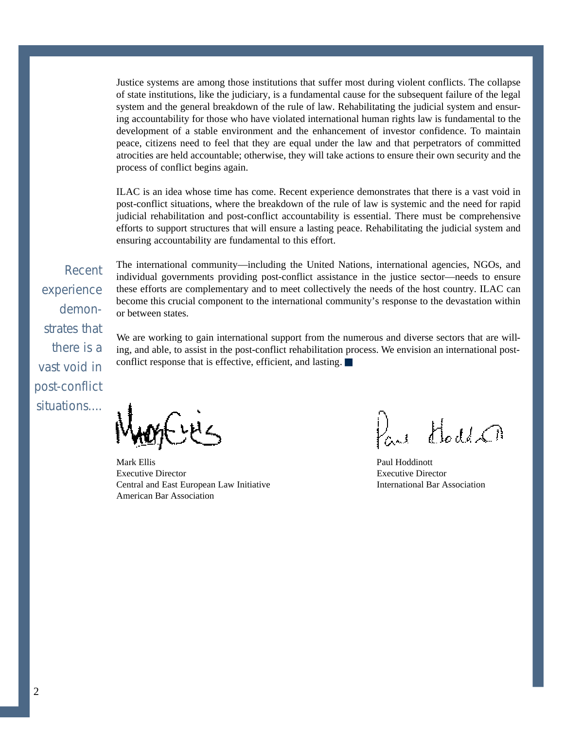Justice systems are among those institutions that suffer most during violent conflicts. The collapse of state institutions, like the judiciary, is a fundamental cause for the subsequent failure of the legal system and the general breakdown of the rule of law. Rehabilitating the judicial system and ensuring accountability for those who have violated international human rights law is fundamental to the development of a stable environment and the enhancement of investor confidence. To maintain peace, citizens need to feel that they are equal under the law and that perpetrators of committed atrocities are held accountable; otherwise, they will take actions to ensure their own security and the process of conflict begins again.

ILAC is an idea whose time has come. Recent experience demonstrates that there is a vast void in post-conflict situations, where the breakdown of the rule of law is systemic and the need for rapid judicial rehabilitation and post-conflict accountability is essential. There must be comprehensive efforts to support structures that will ensure a lasting peace. Rehabilitating the judicial system and ensuring accountability are fundamental to this effort.

Recent experience demonstrates that there is a vast void in post-conflict situations.... The international community—including the United Nations, international agencies, NGOs, and individual governments providing post-conflict assistance in the justice sector—needs to ensure these efforts are complementary and to meet collectively the needs of the host country. ILAC can become this crucial component to the international community's response to the devastation within or between states.

We are working to gain international support from the numerous and diverse sectors that are willing, and able, to assist in the post-conflict rehabilitation process. We envision an international postconflict response that is effective, efficient, and lasting.

Mark Ellis Executive Director Central and East European Law Initiative American Bar Association

Part Hold Ch

Paul Hoddinott Executive Director International Bar Association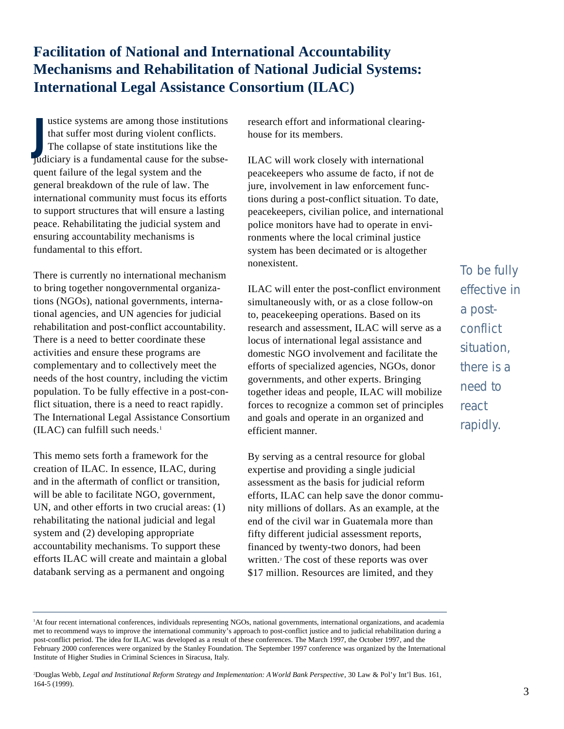# **Facilitation of National and International Accountability Mechanisms and Rehabilitation of National Judicial Systems: International Legal Assistance Consortium (ILAC)**

ustice systems are among those institutions<br>that suffer most during violent conflicts.<br>The collapse of state institutions like the<br>judiciary is a fundamental cause for the subseustice systems are among those institutions that suffer most during violent conflicts. The collapse of state institutions like the quent failure of the legal system and the general breakdown of the rule of law. The international community must focus its efforts to support structures that will ensure a lasting peace. Rehabilitating the judicial system and ensuring accountability mechanisms is fundamental to this effort.

There is currently no international mechanism to bring together nongovernmental organizations (NGOs), national governments, international agencies, and UN agencies for judicial rehabilitation and post-conflict accountability. There is a need to better coordinate these activities and ensure these programs are complementary and to collectively meet the needs of the host country, including the victim population. To be fully effective in a post-conflict situation, there is a need to react rapidly. The International Legal Assistance Consortium  $(ILAC)$  can fulfill such needs.<sup>1</sup>

This memo sets forth a framework for the creation of ILAC. In essence, ILAC, during and in the aftermath of conflict or transition, will be able to facilitate NGO, government, UN, and other efforts in two crucial areas: (1) rehabilitating the national judicial and legal system and (2) developing appropriate accountability mechanisms. To support these e fforts ILAC will create and maintain a global databank serving as a permanent and ongoing

research effort and informational clearinghouse for its members.

ILAC will work closely with international peacekeepers who assume de facto, if not de jure, involvement in law enforcement functions during a post-conflict situation. To date, peacekeepers, civilian police, and international police monitors have had to operate in environments where the local criminal justice system has been decimated or is altogether n o n e x i stent

ILAC will enter the post-conflict environment simultaneously with, or as a close follow-on to, peacekeeping operations. Based on its research and assessment, ILAC will serve as a locus of international legal assistance and domestic NGO involvement and facilitate the e fforts of specialized agencies, NGOs, donor governments, and other experts. Bringing together ideas and people, ILAC will mobilize forces to recognize a common set of principles and goals and operate in an organized and e fficient manner.

By serving as a central resource for global expertise and providing a single judicial assessment as the basis for judicial reform e fforts, ILAC can help save the donor community millions of dollars. As an example, at the end of the civil war in Guatemala more than fifty different judicial assessment reports, financed by twenty-two donors, had been written.<sup>2</sup> The cost of these reports was over \$17 million. Resources are limited, and they

To be fully effective in a postconflict situation. there is a need to react r a pidly.

<sup>2</sup>Douglas Webb, *Legal and Institutional Reform Strategy and Implementation: A World Bank Perspective*, 30 Law & Pol'y Int'l Bus. 161, 164-5 (1999).

<sup>1</sup>At four recent international conferences, individuals representing NGOs, national governments, international organizations, and academia met to recommend ways to improve the international community's approach to post-conflict justice and to judicial rehabilitation during a post-conflict period. The idea for ILAC was developed as a result of these conferences. The March 1997, the October 1997, and the February 2000 conferences were organized by the Stanley Foundation. The September 1997 conference was organized by the International Institute of Higher Studies in Criminal Sciences in Siracusa, Italy.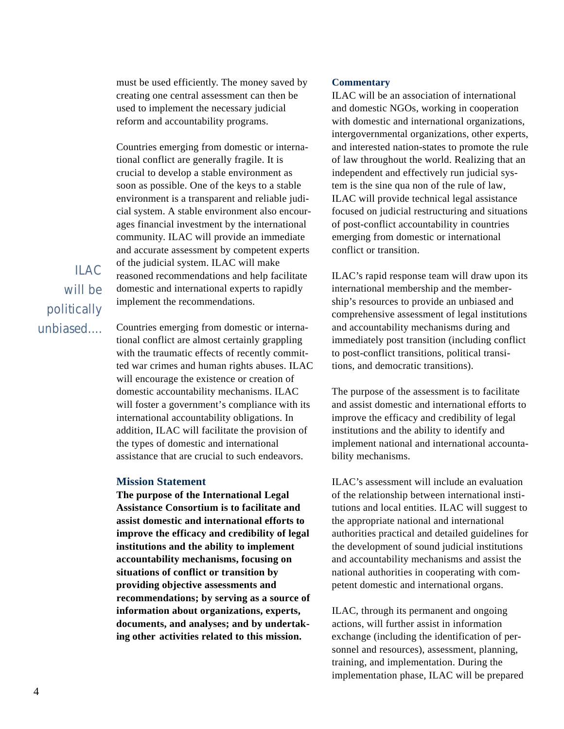must be used efficiently. The money saved by creating one central assessment can then be used to implement the necessary judicial reform and accountability programs.

Countries emerging from domestic or international conflict are generally fragile. It is crucial to develop a stable environment as soon as possible. One of the keys to a stable environment is a transparent and reliable judicial system. A stable environment also encourages financial investment by the international community. ILAC will provide an immediate and accurate assessment by competent experts of the judicial system. ILAC will make reasoned recommendations and help facilitate domestic and international experts to rapidly implement the recommendations.

 $II$  AC will be politically unbiased....

Countries emerging from domestic or international conflict are almost certainly grappling with the traumatic effects of recently committed war crimes and human rights abuses. ILAC will encourage the existence or creation of domestic accountability mechanisms. ILAC will foster a government's compliance with its international accountability obligations. In addition, ILAC will facilitate the provision of the types of domestic and international assistance that are crucial to such endeavors.

#### **Mission Statement**

**The purpose of the International Legal Assistance Consortium is to facilitate and assist domestic and international efforts to** improve the efficacy and credibility of legal **institutions and the ability to implement accountability mechanisms, focusing on situations of conflict or transition by p roviding objective assessments and recommendations; by serving as a source of** information about organizations, experts, documents, and analyses; and by undertak**ing other activities related to this mission.**

#### **Commentary**

ILAC will be an association of international and domestic NGOs, working in cooperation with domestic and international organizations, intergovernmental organizations, other experts, and interested nation-states to promote the rule of law throughout the world. Realizing that an independent and effectively run judicial system is the sine qua non of the rule of law, ILAC will provide technical legal assistance focused on judicial restructuring and situations of post-conflict accountability in countries emerging from domestic or international conflict or transition.

ILAC's rapid response team will draw upon its international membership and the membership's resources to provide an unbiased and comprehensive assessment of legal institutions and accountability mechanisms during and immediately post transition (including conflict to post-conflict transitions, political transitions, and democratic transitions).

The purpose of the assessment is to facilitate and assist domestic and international efforts to improve the efficacy and credibility of legal institutions and the ability to identify and implement national and international accountability mechanisms.

ILAC's assessment will include an evaluation of the relationship between international institutions and local entities. ILAC will suggest to the appropriate national and international authorities practical and detailed guidelines for the development of sound judicial institutions and accountability mechanisms and assist the national authorities in cooperating with competent domestic and international organs.

ILAC, through its permanent and ongoing actions, will further assist in information exchange (including the identification of personnel and resources), assessment, planning, training, and implementation. During the implementation phase, ILAC will be prepared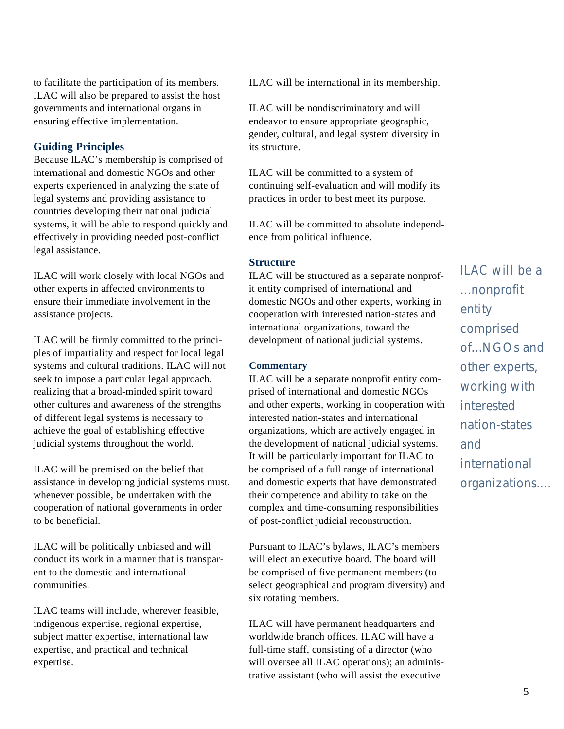to facilitate the participation of its members. ILAC will also be prepared to assist the host governments and international organs in ensuring effective implementation.

## **Guiding Principles**

Because ILAC's membership is comprised of international and domestic NGOs and other experts experienced in analyzing the state of legal systems and providing assistance to countries developing their national judicial systems, it will be able to respond quickly and e ffectively in providing needed post-conflict legal assistance.

ILAC will work closely with local NGOs and other experts in affected environments to ensure their immediate involvement in the assistance projects.

ILAC will be firmly committed to the principles of impartiality and respect for local legal systems and cultural traditions. ILAC will not seek to impose a particular legal approach, realizing that a broad-minded spirit toward other cultures and awareness of the strengths of different legal systems is necessary to achieve the goal of establishing effective judicial systems throughout the world.

ILAC will be premised on the belief that assistance in developing judicial systems must, whenever possible, be undertaken with the cooperation of national governments in order to be beneficial.

ILAC will be politically unbiased and will conduct its work in a manner that is transparent to the domestic and international communities

ILAC teams will include, wherever feasible, indigenous expertise, regional expertise, subject matter expertise, international law expertise, and practical and technical expertise.

ILAC will be international in its membership.

ILAC will be nondiscriminatory and will endeavor to ensure appropriate geographic, gender, cultural, and legal system diversity in its structure.

ILAC will be committed to a system of continuing self-evaluation and will modify its practices in order to best meet its purpose.

ILAC will be committed to absolute independence from political influence.

#### **Structure**

ILAC will be structured as a separate nonprofit entity comprised of international and domestic NGOs and other experts, working in cooperation with interested nation-states and international organizations, toward the development of national judicial systems.

#### **Commentary**

ILAC will be a separate nonprofit entity comprised of international and domestic NGOs and other experts, working in cooperation with interested nation-states and international organizations, which are actively engaged in the development of national judicial systems. It will be particularly important for ILAC to be comprised of a full range of international and domestic experts that have demonstrated their competence and ability to take on the complex and time-consuming responsibilities of post-conflict judicial reconstruction.

Pursuant to ILAC's bylaws, ILAC's members will elect an executive board. The board will be comprised of five permanent members (to select geographical and program diversity) and six rotating members.

ILAC will have permanent headquarters and worldwide branch offices. ILAC will have a full-time staff, consisting of a director (who will oversee all ILAC operations); an administrative assistant (who will assist the executive

ILAC will be a ...nonprofit entity comprised of...NGOs and other experts, working with *interested* n at i on - states and international organizations....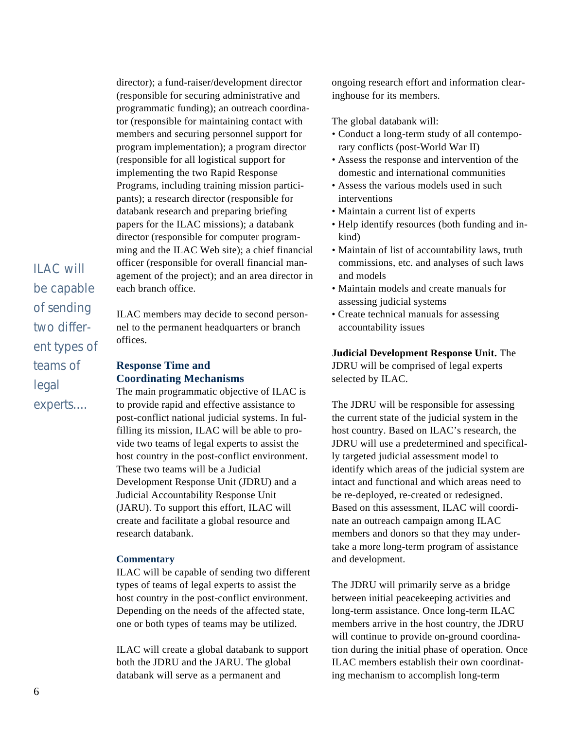director); a fund-raiser/development director (responsible for securing administrative and programmatic funding); an outreach coordinator (responsible for maintaining contact with members and securing personnel support for program implementation); a program director (responsible for all logistical support for implementing the two Rapid Response Programs, including training mission participants); a research director (responsible for databank research and preparing briefing papers for the ILAC missions); a databank director (responsible for computer programming and the ILAC Web site); a chief financial officer (responsible for overall financial management of the project); and an area director in each branch office.

ILAC will be capable of sending two different types of teams of legal experts....

ILAC members may decide to second personnel to the permanent headquarters or branch offices.

## **Response Time and Coordinating Mechanisms**

The main programmatic objective of ILAC is to provide rapid and effective assistance to post-conflict national judicial systems. In fulfilling its mission, ILAC will be able to provide two teams of legal experts to assist the host country in the post-conflict environment. These two teams will be a Judicial Development Response Unit (JDRU) and a Judicial Accountability Response Unit (JARU). To support this effort, ILAC will create and facilitate a global resource and research databank.

### **Commentary**

ILAC will be capable of sending two different types of teams of legal experts to assist the host country in the post-conflict environment. Depending on the needs of the affected state, one or both types of teams may be utilized.

ILAC will create a global databank to support both the JDRU and the JARU. The global databank will serve as a permanent and

ongoing research effort and information clearinghouse for its members.

The global databank will:

- Conduct a long-term study of all contemporary conflicts (post-World War II)
- Assess the response and intervention of the domestic and international communities
- Assess the various models used in such interventions
- Maintain a current list of experts
- Help identify resources (both funding and inkind)
- Maintain of list of accountability laws, truth commissions, etc. and analyses of such laws and models
- Maintain models and create manuals for assessing judicial systems
- Create technical manuals for assessing accountability issues

**Judicial Development Response Unit.** The JDRU will be comprised of legal experts selected by ILAC.

The JDRU will be responsible for assessing the current state of the judicial system in the host country. Based on ILAC's research, the JDRU will use a predetermined and specifically targeted judicial assessment model to identify which areas of the judicial system are intact and functional and which areas need to be re-deployed, re-created or redesigned. Based on this assessment, ILAC will coordinate an outreach campaign among ILAC members and donors so that they may undertake a more long-term program of assistance and development.

The JDRU will primarily serve as a bridge between initial peacekeeping activities and long-term assistance. Once long-term ILAC members arrive in the host country, the JDRU will continue to provide on-ground coordination during the initial phase of operation. Once ILAC members establish their own coordinating mechanism to accomplish long-term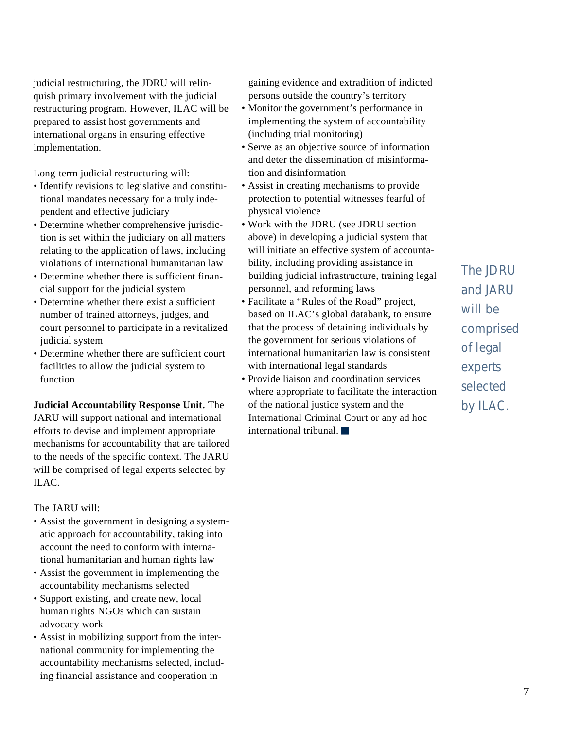judicial restructuring, the JDRU will relinquish primary involvement with the judicial restructuring program. However, ILAC will be prepared to assist host governments and international organs in ensuring effective implementation.

Long-term judicial restructuring will:

- Identify revisions to legislative and constitutional mandates necessary for a truly independent and effective judiciary
- Determine whether comprehensive jurisdiction is set within the judiciary on all matters relating to the application of laws, including violations of international humanitarian law
- Determine whether there is sufficient financial support for the judicial system
- Determine whether there exist a sufficient number of trained attorneys, judges, and court personnel to participate in a revitalized judicial system
- Determine whether there are sufficient court facilities to allow the judicial system to function

**Judicial Accountability Response Unit.** The JARU will support national and international e fforts to devise and implement appropriate mechanisms for accountability that are tailored to the needs of the specific context. The JARU will be comprised of legal experts selected by ILAC.

The JARU will:

- Assist the government in designing a systematic approach for accountability, taking into account the need to conform with international humanitarian and human rights law
- Assist the government in implementing the accountability mechanisms selected
- Support existing, and create new, local human rights NGOs which can sustain advocacy work
- Assist in mobilizing support from the international community for implementing the accountability mechanisms selected, including financial assistance and cooperation in

gaining evidence and extradition of indicted persons outside the country's territory

- Monitor the government's performance in implementing the system of accountability (including trial monitoring)
- Serve as an objective source of information and deter the dissemination of misinformation and disinformation
- Assist in creating mechanisms to provide protection to potential witnesses fearful of physical violence
- Work with the JDRU (see JDRU section above) in developing a judicial system that will initiate an effective system of accountability, including providing assistance in building judicial infrastructure, training legal personnel, and reforming laws
- Facilitate a "Rules of the Road" project, based on ILAC's global databank, to ensure that the process of detaining individuals by the government for serious violations of international humanitarian law is consistent with international legal standards
- Provide liaison and coordination services where appropriate to facilitate the interaction of the national justice system and the International Criminal Court or any ad hoc international tribunal.

The JDRU and JARU will be comprised of legal experts selected by ILAC.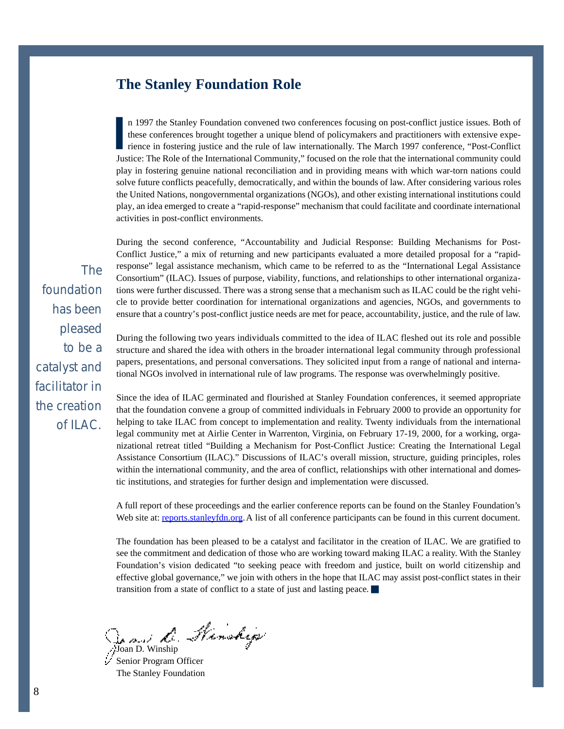## **The Stanley Foundation Role**

In 1997 the Stanley Foundation convened two conferences focusing on post-conflict justice issues. Both of these conferences brought together a unique blend of policymakers and practitioners with extensive experience in fos n 1997 the Stanley Foundation convened two conferences focusing on post-conflict justice issues. Both of these conferences brought together a unique blend of policymakers and practitioners with extensive experience in fostering justice and the rule of law internationally. The March 1997 conference, "Post-Conflict play in fostering genuine national reconciliation and in providing means with which war-torn nations could solve future conflicts peacefully, democratically, and within the bounds of law. After considering various roles the United Nations, nongovernmental organizations (NGOs), and other existing international institutions could play, an idea emerged to create a "rapid-response" mechanism that could facilitate and coordinate international activities in post-conflict environments.

During the second conference, "Accountability and Judicial Response: Building Mechanisms for Post-Conflict Justice," a mix of returning and new participants evaluated a more detailed proposal for a "rapidresponse" legal assistance mechanism, which came to be referred to as the "International Legal Assistance Consortium" (ILAC). Issues of purpose, viability, functions, and relationships to other international organizations were further discussed. There was a strong sense that a mechanism such as ILAC could be the right vehicle to provide better coordination for international organizations and agencies, NGOs, and governments to ensure that a country's post-conflict justice needs are met for peace, accountability, justice, and the rule of law.

During the following two years individuals committed to the idea of ILAC fleshed out its role and possible structure and shared the idea with others in the broader international legal community through professional papers, presentations, and personal conversations. They solicited input from a range of national and international NGOs involved in international rule of law programs. The response was overwhelmingly positive.

Since the idea of ILAC germinated and flourished at Stanley Foundation conferences, it seemed appropriate that the foundation convene a group of committed individuals in February 2000 to provide an opportunity for helping to take ILAC from concept to implementation and reality. Twenty individuals from the international legal community met at Airlie Center in Warrenton, Virginia, on February 17-19, 2000, for a working, organizational retreat titled "Building a Mechanism for Post-Conflict Justice: Creating the International Legal Assistance Consortium (ILAC)." Discussions of ILAC's overall mission, structure, guiding principles, roles within the international community, and the area of conflict, relationships with other international and domestic institutions, and strategies for further design and implementation were discussed.

A full report of these proceedings and the earlier conference reports can be found on the Stanley Foundation's Web site at: [reports.stanleyfdn.org.](http://reports.stanleyfdn.org) A list of all conference participants can be found in this current document.

The foundation has been pleased to be a catalyst and facilitator in the creation of ILAC. We are gratified to see the commitment and dedication of those who are working toward making ILAC a reality. With the Stanley Foundation's vision dedicated "to seeking peace with freedom and justice, built on world citizenship and effective global governance," we join with others in the hope that ILAC may assist post-conflict states in their transition from a state of conflict to a state of just and lasting peace.

Joan D. Winship

Senior Program Officer The Stanley Foundation

The foundation has been pleased to be a catalyst and facilitator in the creation of ILAC.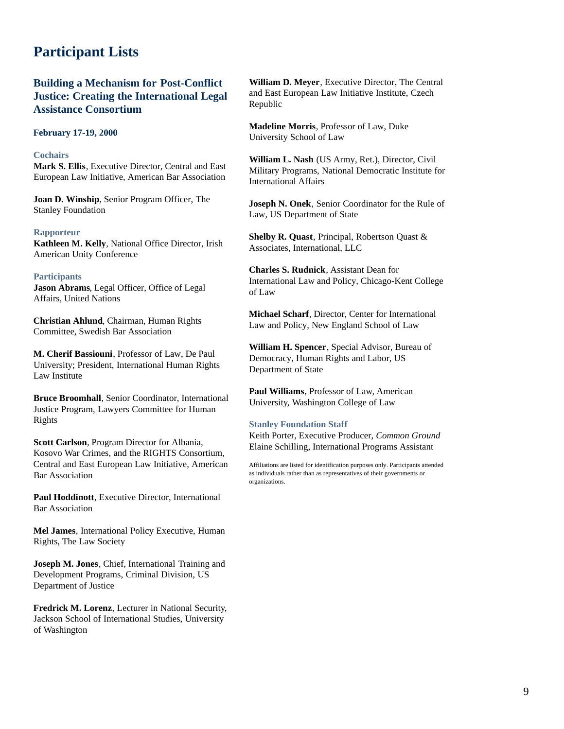# **Participant Lists**

## **Building a Mechanism for Post-Conflict Justice: Creating the International Legal Assistance Consortium**

#### **February 17-19, 2000**

#### **Cochairs**

**Mark S. Ellis**, Executive Director, Central and East European Law Initiative, American Bar Association

**Joan D. Winship**, Senior Program Officer, The Stanley Foundation

#### **Rapporteur**

**Kathleen M. Kelly**, National Office Director, Irish American Unity Conference

#### **Participants**

**Jason Abrams**, Legal Officer, Office of Legal Affairs, United Nations

**Christian Ahlund**, Chairman, Human Rights Committee, Swedish Bar Association

**M. Cherif Bassiouni**, Professor of Law, De Paul University; President, International Human Rights Law Institute

**Bruce Broomhall**, Senior Coordinator, International Justice Program, Lawyers Committee for Human Rights

**Scott Carlson**, Program Director for Albania, Kosovo War Crimes, and the RIGHTS Consortium, Central and East European Law Initiative, American Bar Association

**Paul Hoddinott**, Executive Director, International Bar Association

**Mel James**, International Policy Executive, Human Rights, The Law Society

**Joseph M. Jones**, Chief, International Training and Development Programs, Criminal Division, US Department of Justice

**Fredrick M. Lorenz**, Lecturer in National Security, Jackson School of International Studies, University of Washington

**William D. Meyer**, Executive Director, The Central and East European Law Initiative Institute, Czech Republic

**Madeline Morris**, Professor of Law, Duke University School of Law

**William L. Nash** (US Army, Ret.), Director, Civil Military Programs, National Democratic Institute for International Affairs

**Joseph N. Onek**, Senior Coordinator for the Rule of Law, US Department of State

**Shelby R. Quast**, Principal, Robertson Quast & Associates, International, LLC

**Charles S. Rudnick**, Assistant Dean for International Law and Policy, Chicago-Kent College of Law

**Michael Scharf**, Director, Center for International Law and Policy, New England School of Law

**William H. Spencer**, Special Advisor, Bureau of Democracy, Human Rights and Labor, US Department of State

**Paul Williams**, Professor of Law, American University, Washington College of Law

#### **Stanley Foundation Staff**

Keith Porter, Executive Producer, *Common Ground* Elaine Schilling, International Programs Assistant

Affiliations are listed for identification purposes only. Participants attended as individuals rather than as representatives of their governments or organizations.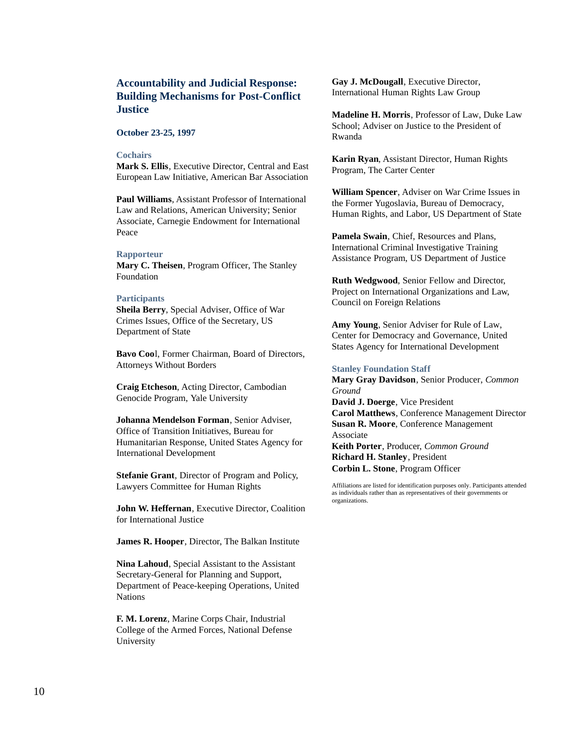## **Accountability and Judicial Response: Building Mechanisms for Post-Conflict Justice**

#### **October 23-25, 1997**

#### **Cochairs**

**Mark S. Ellis**, Executive Director, Central and East European Law Initiative, American Bar Association

**Paul Williams**, Assistant Professor of International Law and Relations, American University; Senior Associate, Carnegie Endowment for International Peace

#### **Rapporteur**

**Mary C. Theisen**, Program Officer, The Stanley Foundation

#### **Participants**

**Sheila Berry**, Special Adviser, Office of War Crimes Issues, Office of the Secretary, US Department of State

**Bavo Coo**l, Former Chairman, Board of Directors, Attorneys Without Borders

**Craig Etcheson**, Acting Director, Cambodian Genocide Program, Yale University

**Johanna Mendelson Forman**, Senior Adviser, Office of Transition Initiatives, Bureau for Humanitarian Response, United States Agency for International Development

**Stefanie Grant**, Director of Program and Policy, Lawyers Committee for Human Rights

**John W. Heffernan**, Executive Director, Coalition for International Justice

**James R. Hooper**, Director, The Balkan Institute

**Nina Lahoud**, Special Assistant to the Assistant Secretary-General for Planning and Support, Department of Peace-keeping Operations, United Nations

**F. M. Lorenz**, Marine Corps Chair, Industrial College of the Armed Forces, National Defense University

**Gay J. McDougall**, Executive Director, International Human Rights Law Group

**Madeline H. Morris**, Professor of Law, Duke Law School; Adviser on Justice to the President of Rwanda

**Karin Ryan**, Assistant Director, Human Rights Program, The Carter Center

**William Spencer**, Adviser on War Crime Issues in the Former Yugoslavia, Bureau of Democracy, Human Rights, and Labor, US Department of State

**Pamela Swain**, Chief, Resources and Plans, International Criminal Investigative Training Assistance Program, US Department of Justice

**Ruth Wedgwood**, Senior Fellow and Director, Project on International Organizations and Law, Council on Foreign Relations

**Amy Young**, Senior Adviser for Rule of Law, Center for Democracy and Governance, United States Agency for International Development

#### **Stanley Foundation Staff**

**Mary Gray Davidson**, Senior Producer, *Common Ground* **David J. Doerge**, Vice President **Carol Matthews**, Conference Management Director **Susan R. Moore**, Conference Management Associate **Keith Porter**, Producer, *Common Ground* **Richard H. Stanley**, President

**Corbin L. Stone**, Program Officer

Affiliations are listed for identification purposes only. Participants attended as individuals rather than as representatives of their governments or organizations.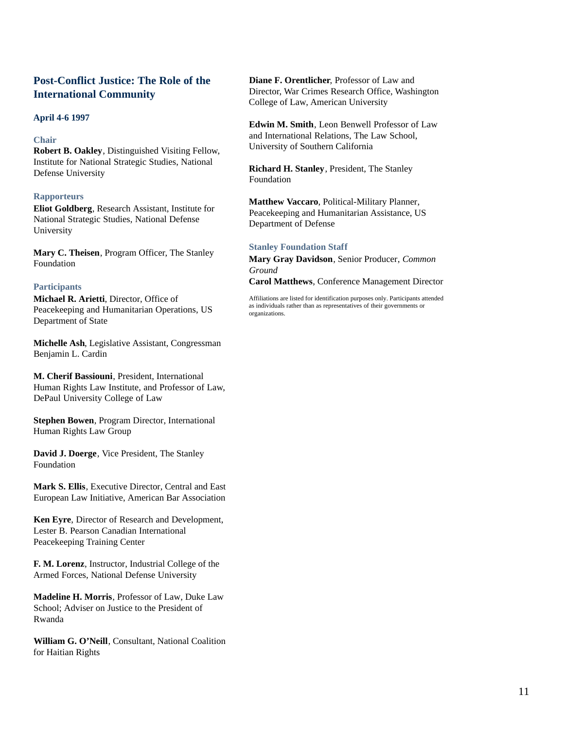## **Post-Conflict Justice: The Role of the International Community**

#### **April 4-6 1997**

#### **Chair**

**Robert B. Oakley**, Distinguished Visiting Fellow, Institute for National Strategic Studies, National Defense University

#### **Rapporteurs**

**Eliot Goldberg**, Research Assistant, Institute for National Strategic Studies, National Defense University

**Mary C. Theisen**, Program Officer, The Stanley Foundation

#### **Participants**

**Michael R. Arietti**, Director, Office of Peacekeeping and Humanitarian Operations, US Department of State

**Michelle Ash**, Legislative Assistant, Congressman Benjamin L. Cardin

**M. Cherif Bassiouni**, President, International Human Rights Law Institute, and Professor of Law, DePaul University College of Law

**Stephen Bowen**, Program Director, International Human Rights Law Group

**David J. Doerge**, Vice President, The Stanley Foundation

**Mark S. Ellis**, Executive Director, Central and East European Law Initiative, American Bar Association

**Ken Eyre**, Director of Research and Development, Lester B. Pearson Canadian International Peacekeeping Training Center

**F. M. Lorenz**, Instructor, Industrial College of the Armed Forces, National Defense University

**Madeline H. Morris**, Professor of Law, Duke Law School; Adviser on Justice to the President of Rwanda

**William G. O'Neill**, Consultant, National Coalition for Haitian Rights

**Diane F. Orentlicher**, Professor of Law and Director, War Crimes Research Office, Washington College of Law, American University

**Edwin M. Smith**, Leon Benwell Professor of Law and International Relations, The Law School, University of Southern California

**Richard H. Stanley**, President, The Stanley Foundation

**Matthew Vaccaro**, Political-Military Planner, Peacekeeping and Humanitarian Assistance, US Department of Defense

#### **Stanley Foundation Staff**

**Mary Gray Davidson**, Senior Producer, *Common Ground*

**Carol Matthews**, Conference Management Director

Affiliations are listed for identification purposes only. Participants attended as individuals rather than as representatives of their governments or organizations.